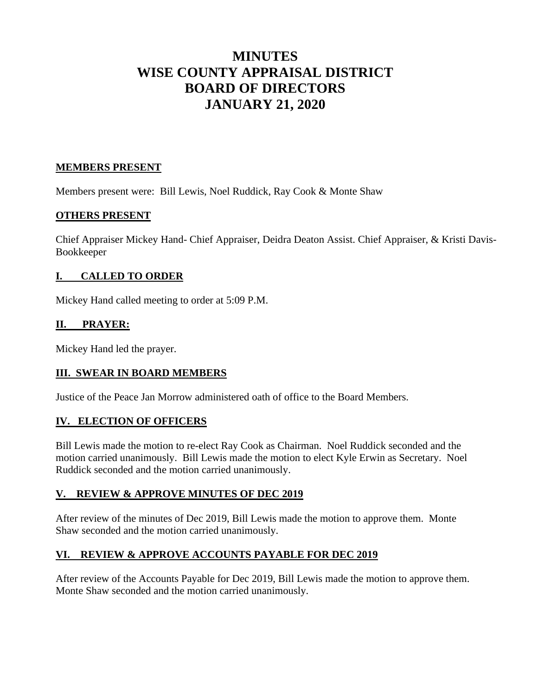# **MINUTES WISE COUNTY APPRAISAL DISTRICT BOARD OF DIRECTORS JANUARY 21, 2020**

## **MEMBERS PRESENT**

Members present were: Bill Lewis, Noel Ruddick, Ray Cook & Monte Shaw

### **OTHERS PRESENT**

Chief Appraiser Mickey Hand- Chief Appraiser, Deidra Deaton Assist. Chief Appraiser, & Kristi Davis-Bookkeeper

### **I. CALLED TO ORDER**

Mickey Hand called meeting to order at 5:09 P.M.

### **II. PRAYER:**

Mickey Hand led the prayer.

#### **III. SWEAR IN BOARD MEMBERS**

Justice of the Peace Jan Morrow administered oath of office to the Board Members.

#### **IV. ELECTION OF OFFICERS**

Bill Lewis made the motion to re-elect Ray Cook as Chairman. Noel Ruddick seconded and the motion carried unanimously. Bill Lewis made the motion to elect Kyle Erwin as Secretary. Noel Ruddick seconded and the motion carried unanimously.

#### **V. REVIEW & APPROVE MINUTES OF DEC 2019**

After review of the minutes of Dec 2019, Bill Lewis made the motion to approve them. Monte Shaw seconded and the motion carried unanimously.

#### **VI. REVIEW & APPROVE ACCOUNTS PAYABLE FOR DEC 2019**

After review of the Accounts Payable for Dec 2019, Bill Lewis made the motion to approve them. Monte Shaw seconded and the motion carried unanimously.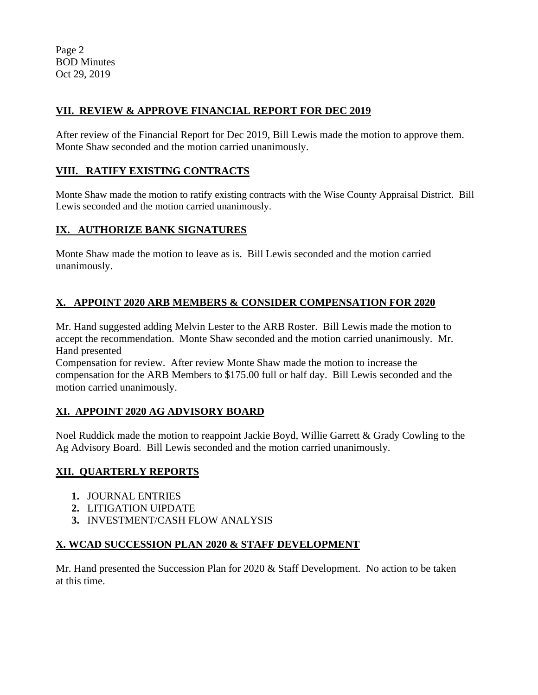Page 2 BOD Minutes Oct 29, 2019

# **VII. REVIEW & APPROVE FINANCIAL REPORT FOR DEC 2019**

After review of the Financial Report for Dec 2019, Bill Lewis made the motion to approve them. Monte Shaw seconded and the motion carried unanimously.

## **VIII. RATIFY EXISTING CONTRACTS**

Monte Shaw made the motion to ratify existing contracts with the Wise County Appraisal District. Bill Lewis seconded and the motion carried unanimously.

# **IX. AUTHORIZE BANK SIGNATURES**

Monte Shaw made the motion to leave as is. Bill Lewis seconded and the motion carried unanimously.

# **X. APPOINT 2020 ARB MEMBERS & CONSIDER COMPENSATION FOR 2020**

Mr. Hand suggested adding Melvin Lester to the ARB Roster. Bill Lewis made the motion to accept the recommendation. Monte Shaw seconded and the motion carried unanimously. Mr. Hand presented

Compensation for review. After review Monte Shaw made the motion to increase the compensation for the ARB Members to \$175.00 full or half day. Bill Lewis seconded and the motion carried unanimously.

# **XI. APPOINT 2020 AG ADVISORY BOARD**

Noel Ruddick made the motion to reappoint Jackie Boyd, Willie Garrett & Grady Cowling to the Ag Advisory Board. Bill Lewis seconded and the motion carried unanimously.

# **XII. QUARTERLY REPORTS**

- **1.** JOURNAL ENTRIES
- **2.** LITIGATION UIPDATE
- **3.** INVESTMENT/CASH FLOW ANALYSIS

# **X. WCAD SUCCESSION PLAN 2020 & STAFF DEVELOPMENT**

Mr. Hand presented the Succession Plan for 2020 & Staff Development. No action to be taken at this time.